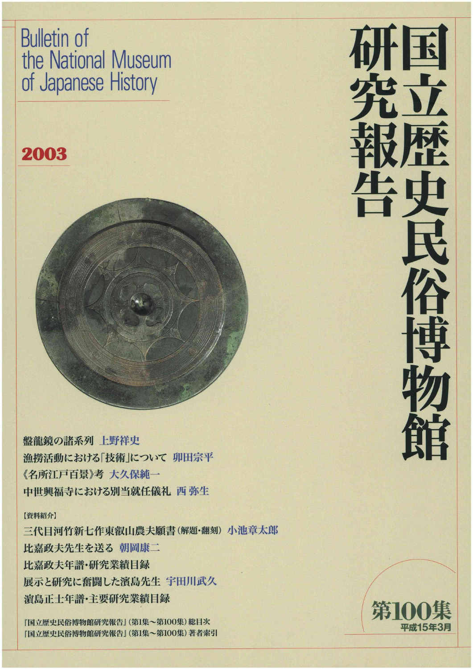Bulletin of the National Museum of Japanese HistorY

## 2003



盤龍鏡の諸系列上野祥史 漁撈活動における「技術」について 卯田宗平 《名所江戸百景》考 大久保純一 中世興福寺における別当就任儀礼 西弥生

#### 【資料紹介】

三代目河竹新七作東叡山農夫願書(解題·翻刻)小池章太郎 比嘉政夫先生を送る朝岡康二 比嘉政夫年譜・研究業績目録 展示と研究に奮闘した濱島先生 宇田川武久 潰島正士年譜・主要研究業績目録

『国立歴史民俗博物館研究報告』(第1集~第100集)総目次 『国立歴史民俗博物館研究報告』(第1集~第100集)著者索引





//一へ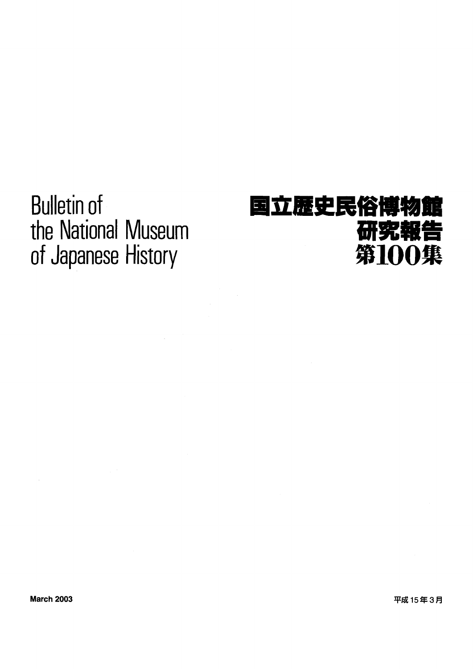**Bulletin of** the National Museum of Japanese History

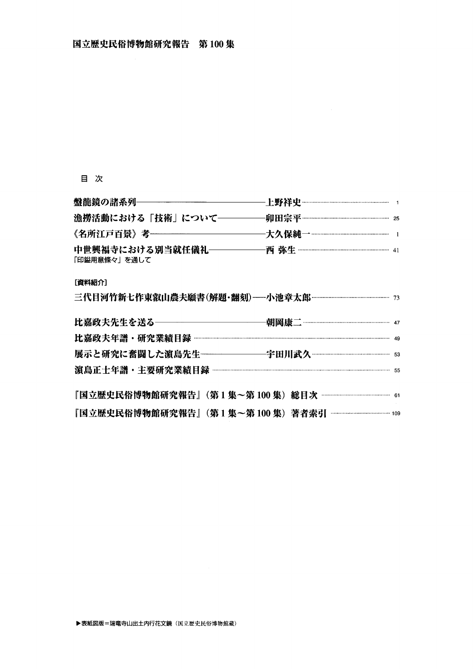#### 目 次

| 漁撈活動における「技術」について――――                |  |
|-------------------------------------|--|
| 《名所江戸百景》考——————————                 |  |
| 中世興福寺における別当就任儀礼――――<br>「印鎰用意條々」を通して |  |

#### [資料紹介]

| 比嘉政夫先生を送る―――――――――――                                         |  |
|--------------------------------------------------------------|--|
|                                                              |  |
| 展示と研究に奮闘した濵島先生-----------------宇田川武久 …………………………………………………… 53 |  |
|                                                              |  |
|                                                              |  |
|                                                              |  |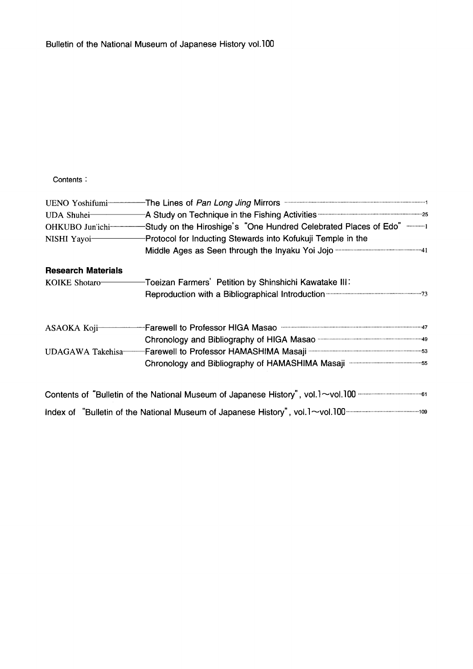#### Contents:

|                           | UENO Yoshifumi <sup>-------------</sup> The Lines of Pan Long Jing Mirrors <b>Contains Accord Transformation</b> 1 |
|---------------------------|--------------------------------------------------------------------------------------------------------------------|
| UDA Shuhei-               |                                                                                                                    |
| OHKUBO Jun'ichi-          | -Study on the Hiroshige's "One Hundred Celebrated Places of Edo" 1                                                 |
| NISHI Yayoi-              | Protocol for Inducting Stewards into Kofukuji Temple in the                                                        |
|                           |                                                                                                                    |
| <b>Research Materials</b> |                                                                                                                    |
| KOIKE Shotaro-            | -Toeizan Farmers' Petition by Shinshichi Kawatake III:                                                             |
|                           | Reproduction with a Bibliographical Introduction manufactures and 73                                               |
| ASAOKA Koji-              | Farewell to Professor HIGA Masao municipalizaminaminaminaminaminamina 47                                           |
|                           |                                                                                                                    |
| UDAGAWA Takehisa-         |                                                                                                                    |
|                           | Chronology and Bibliography of HAMASHIMA Masaji municipalized and Sibliography of HAMASHIMA Masaji                 |
|                           |                                                                                                                    |
|                           |                                                                                                                    |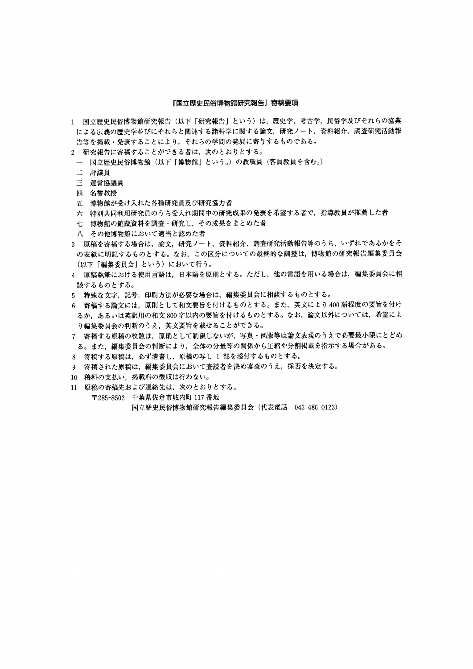#### 『国立歴史民俗博物館研究報告』寄稿要項

- 1 国立歴史民俗博物館研究報告(以下「研究報告」という)は,歴史学,考古学,民俗学及びそれらの協業 による広義の歴史学並びにそれらと関連する諸科学に関する論文,研究ノート,資料紹介,調査研究活動報 告等を掲載・発表することにより,それらの学問の発展に寄与するものである。
- 2 研究報告に寄稿することができる者は,次のとおりとする。
- 国立歴史民俗博物館(以下「博物館」という。)の教職員(客員教員を含む。)
- 二 評議員
- 三 運営協議員
- 四 名誉教授
- 五 博物館が受け入れた各種研究員及び研究協力者
- 六 特別共同利用研究員のうち受入れ期間中の研究成果の発表を希望する者で,指導教員が推薦した者
- 七 博物館の館蔵資料を調査・研究し,その成果をまとめた者
- 八 その他博物館において適当と認めた者
- 3 原稿を寄稿する場合は,論文,研究ノート,資料紹介,調査研究活動報告等のうち,いずれであるかをそ の表紙に明記するものとする。なお,この区分についての最終的な調整は,博物館の研究報告編集委員会 (以下「編集委員会」という)において行う。
- 4 原稿執筆における使用言語は,日本語を原則とする。ただし,他の言語を用いる場合は,編集委員会に相 談するものとする。
- 5 特殊な文字,記号,印刷方法が必要な場合は,編集委員会に相談するものとする。
- 6 寄稿する論文には,原則として和文要旨を付けるものとする。また,英文により400語程度の要旨を付け るか,あるいは英訳用の和文800字以内の要旨を付けるものとする。なお,論文以外については,希望によ り編集委員会の判断のうえ,英文要旨を載せることができる。
- 7 寄稿する原稿の枚数は,原則として制限しないが,写真・図版等は論文表現のうえで必要最小限にとどめ る。また,編集委員会の判断により,全体の分量等の関係から圧縮や分割掲載を指示する場合がある。
- 8 寄稿する原稿は,必ず清書し,原稿の写し1部を添付するものとする。
- 9 寄稿された原稿は,編集委員会において査読者を決め審査のうえ,採否を決定する。
- 10稿料の支払い,掲載料の徴収は行わない。
- 11原稿の寄稿先および連絡先は,次のとおりとする。
- 〒285-8502 千葉県佐倉市城内町117番地 国立歴史民俗博物館研究報告編集委員会(代表電話 043-486-0123)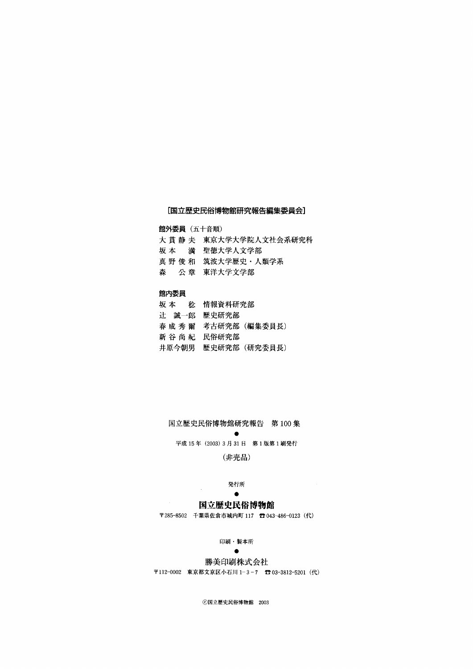#### [国立歴史民俗博物館研究報告編集委員会]

館外委員(五十音順)

大貫静夫 東京大学大学院人文社会系研究科 坂本 満聖徳大学人文学部 真野俊和 筑波大学歴史·人類学系 森 公章 東洋大学文学部

#### 館内委員

|             | 坂 本   稔 情報資料研究部 |                      |
|-------------|-----------------|----------------------|
| 辻 誠一郎 歴史研究部 |                 |                      |
|             |                 | 春 成 秀 爾 考古研究部(編集委員長) |
| 新 谷 尚 紀     | 民俗研究部           |                      |
| 井原今朝男       |                 | 歴史研究部(研究委員長)         |
|             |                 |                      |

国立歴史民俗博物館研究報告 第100集

experience and the second second second 平成15年(2003)3月31日 第1版第1刷発行

(非売品)

### 発行所<br>●

#### entration of the contract of the contract of 国立歴史民俗博物館

〒285-8502 千葉県佐倉市城内町117唇043-486-0123(代)

印刷・製本所<br>●

#### experience and the second second second

#### 勝美印刷株式会社

〒112-0002 東京都文京区小石川1-3-7 ⑰03-3812-5201(代)

◎国立歴史民俗博物館 2003